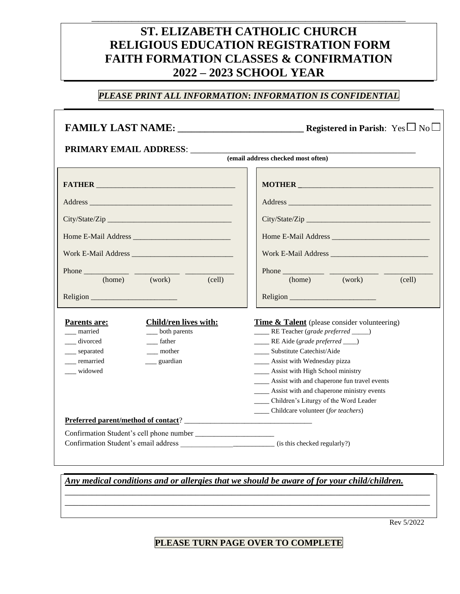## **ST. ELIZABETH CATHOLIC CHURCH RELIGIOUS EDUCATION REGISTRATION FORM FAITH FORMATION CLASSES & CONFIRMATION 2022 – 2023 SCHOOL YEAR**

**\_\_\_\_\_\_\_\_\_\_\_\_\_\_\_\_\_\_\_\_\_\_\_\_\_\_\_\_\_\_\_\_\_\_\_\_\_\_\_\_\_\_\_\_\_\_\_**

#### *PLEASE PRINT ALL INFORMATION***:** *INFORMATION IS CONFIDENTIAL*

|                                                                                                                                                                                                                                                                                                                                                           | MOTHER                                                                                                                                                                                                                         |  |  |  |  |
|-----------------------------------------------------------------------------------------------------------------------------------------------------------------------------------------------------------------------------------------------------------------------------------------------------------------------------------------------------------|--------------------------------------------------------------------------------------------------------------------------------------------------------------------------------------------------------------------------------|--|--|--|--|
|                                                                                                                                                                                                                                                                                                                                                           |                                                                                                                                                                                                                                |  |  |  |  |
|                                                                                                                                                                                                                                                                                                                                                           |                                                                                                                                                                                                                                |  |  |  |  |
|                                                                                                                                                                                                                                                                                                                                                           |                                                                                                                                                                                                                                |  |  |  |  |
|                                                                                                                                                                                                                                                                                                                                                           |                                                                                                                                                                                                                                |  |  |  |  |
| Phone $\frac{1}{2}$ $\frac{1}{2}$ $\frac{1}{2}$ $\frac{1}{2}$ $\frac{1}{2}$ $\frac{1}{2}$ $\frac{1}{2}$ $\frac{1}{2}$ $\frac{1}{2}$ $\frac{1}{2}$ $\frac{1}{2}$ $\frac{1}{2}$ $\frac{1}{2}$ $\frac{1}{2}$ $\frac{1}{2}$ $\frac{1}{2}$ $\frac{1}{2}$ $\frac{1}{2}$ $\frac{1}{2}$ $\frac{1}{2}$ $\frac{1}{2}$ $\frac{1$<br>(home) (work)<br>$\text{(cell)}$ | (work)<br>(cell)<br>(home)                                                                                                                                                                                                     |  |  |  |  |
|                                                                                                                                                                                                                                                                                                                                                           |                                                                                                                                                                                                                                |  |  |  |  |
| Child/ren lives with:<br>Parents are:<br>married<br>__ both parents<br>__ divorced<br>$f$ ather<br>__ separated<br>mother                                                                                                                                                                                                                                 | <b>Time &amp; Talent</b> (please consider volunteering)<br>_____ RE Teacher (grade preferred ____)<br>_____ RE Aide (grade preferred ___)<br>____ Substitute Catechist/Aide                                                    |  |  |  |  |
| ___ remarried<br>guardian<br>widowed                                                                                                                                                                                                                                                                                                                      | ____ Assist with Wednesday pizza<br>____ Assist with High School ministry<br>____ Assist with and chaperone fun travel events<br>_____ Assist with and chaperone ministry events<br>____ Children's Liturgy of the Word Leader |  |  |  |  |
|                                                                                                                                                                                                                                                                                                                                                           | _____ Childcare volunteer (for teachers)                                                                                                                                                                                       |  |  |  |  |

*Any medical conditions and or allergies that we should be aware of for your child/children.*

Rev 5/2022

#### **PLEASE TURN PAGE OVER TO COMPLETE**

\_\_\_\_\_\_\_\_\_\_\_\_\_\_\_\_\_\_\_\_\_\_\_\_\_\_\_\_\_\_\_\_\_\_\_\_\_\_\_\_\_\_\_\_\_\_\_\_\_\_\_\_\_\_\_\_\_\_\_\_\_\_\_\_\_\_\_\_\_\_\_\_\_\_\_\_\_\_\_\_\_ \_\_\_\_\_\_\_\_\_\_\_\_\_\_\_\_\_\_\_\_\_\_\_\_\_\_\_\_\_\_\_\_\_\_\_\_\_\_\_\_\_\_\_\_\_\_\_\_\_\_\_\_\_\_\_\_\_\_\_\_\_\_\_\_\_\_\_\_\_\_\_\_\_\_\_\_\_\_\_\_\_